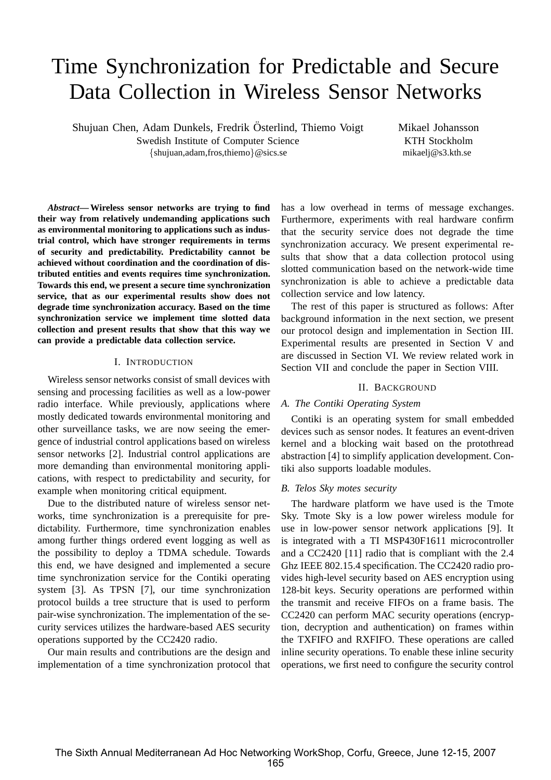# Time Synchronization for Predictable and Secure Data Collection in Wireless Sensor Networks

Shujuan Chen, Adam Dunkels, Fredrik Osterlind, Thiemo Voigt ¨ Swedish Institute of Computer Science {shujuan,adam,fros,thiemo}@sics.se

Mikael Johansson KTH Stockholm mikaelj@s3.kth.se

*Abstract***— Wireless sensor networks are trying to find their way from relatively undemanding applications such as environmental monitoring to applications such as industrial control, which have stronger requirements in terms of security and predictability. Predictability cannot be achieved without coordination and the coordination of distributed entities and events requires time synchronization. Towards this end, we present a secure time synchronization service, that as our experimental results show does not degrade time synchronization accuracy. Based on the time synchronization service we implement time slotted data collection and present results that show that this way we can provide a predictable data collection service.**

# I. INTRODUCTION

Wireless sensor networks consist of small devices with sensing and processing facilities as well as a low-power radio interface. While previously, applications where mostly dedicated towards environmental monitoring and other surveillance tasks, we are now seeing the emergence of industrial control applications based on wireless sensor networks [2]. Industrial control applications are more demanding than environmental monitoring applications, with respect to predictability and security, for example when monitoring critical equipment.

Due to the distributed nature of wireless sensor networks, time synchronization is a prerequisite for predictability. Furthermore, time synchronization enables among further things ordered event logging as well as the possibility to deploy a TDMA schedule. Towards this end, we have designed and implemented a secure time synchronization service for the Contiki operating system [3]. As TPSN [7], our time synchronization protocol builds a tree structure that is used to perform pair-wise synchronization. The implementation of the security services utilizes the hardware-based AES security operations supported by the CC2420 radio.

Our main results and contributions are the design and implementation of a time synchronization protocol that has a low overhead in terms of message exchanges. Furthermore, experiments with real hardware confirm that the security service does not degrade the time synchronization accuracy. We present experimental results that show that a data collection protocol using slotted communication based on the network-wide time synchronization is able to achieve a predictable data collection service and low latency.

The rest of this paper is structured as follows: After background information in the next section, we present our protocol design and implementation in Section III. Experimental results are presented in Section V and are discussed in Section VI. We review related work in Section VII and conclude the paper in Section VIII.

#### II. BACKGROUND

## *A. The Contiki Operating System*

Contiki is an operating system for small embedded devices such as sensor nodes. It features an event-driven kernel and a blocking wait based on the protothread abstraction [4] to simplify application development. Contiki also supports loadable modules.

#### *B. Telos Sky motes security*

The hardware platform we have used is the Tmote Sky. Tmote Sky is a low power wireless module for use in low-power sensor network applications [9]. It is integrated with a TI MSP430F1611 microcontroller and a CC2420 [11] radio that is compliant with the 2.4 Ghz IEEE 802.15.4 specification. The CC2420 radio provides high-level security based on AES encryption using 128-bit keys. Security operations are performed within the transmit and receive FIFOs on a frame basis. The CC2420 can perform MAC security operations (encryption, decryption and authentication) on frames within the TXFIFO and RXFIFO. These operations are called inline security operations. To enable these inline security operations, we first need to configure the security control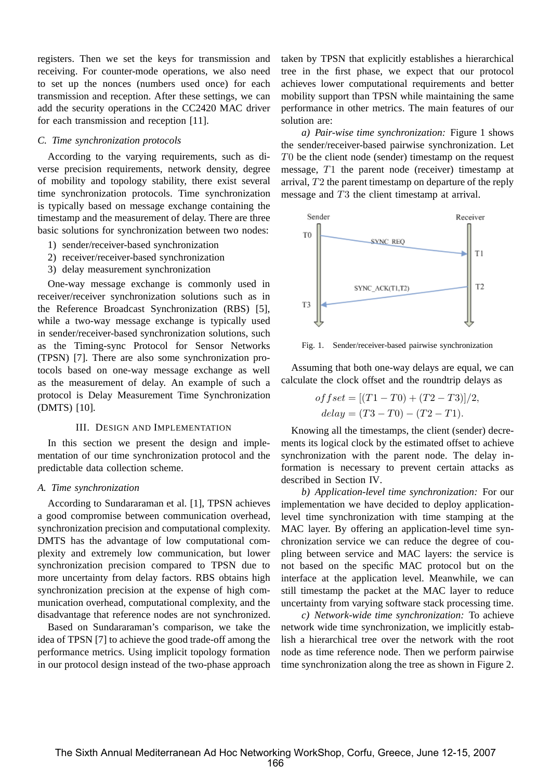registers. Then we set the keys for transmission and receiving. For counter-mode operations, we also need to set up the nonces (numbers used once) for each transmission and reception. After these settings, we can add the security operations in the CC2420 MAC driver for each transmission and reception [11].

# *C. Time synchronization protocols*

According to the varying requirements, such as diverse precision requirements, network density, degree of mobility and topology stability, there exist several time synchronization protocols. Time synchronization is typically based on message exchange containing the timestamp and the measurement of delay. There are three basic solutions for synchronization between two nodes:

- 1) sender/receiver-based synchronization
- 2) receiver/receiver-based synchronization
- 3) delay measurement synchronization

One-way message exchange is commonly used in receiver/receiver synchronization solutions such as in the Reference Broadcast Synchronization (RBS) [5], while a two-way message exchange is typically used in sender/receiver-based synchronization solutions, such as the Timing-sync Protocol for Sensor Networks (TPSN) [7]. There are also some synchronization protocols based on one-way message exchange as well as the measurement of delay. An example of such a protocol is Delay Measurement Time Synchronization (DMTS) [10].

## III. DESIGN AND IMPLEMENTATION

In this section we present the design and implementation of our time synchronization protocol and the predictable data collection scheme.

#### *A. Time synchronization*

According to Sundararaman et al. [1], TPSN achieves a good compromise between communication overhead, synchronization precision and computational complexity. DMTS has the advantage of low computational complexity and extremely low communication, but lower synchronization precision compared to TPSN due to more uncertainty from delay factors. RBS obtains high synchronization precision at the expense of high communication overhead, computational complexity, and the disadvantage that reference nodes are not synchronized.

Based on Sundararaman's comparison, we take the idea of TPSN [7] to achieve the good trade-off among the performance metrics. Using implicit topology formation in our protocol design instead of the two-phase approach taken by TPSN that explicitly establishes a hierarchical tree in the first phase, we expect that our protocol achieves lower computational requirements and better mobility support than TPSN while maintaining the same performance in other metrics. The main features of our solution are:

*a) Pair-wise time synchronization:* Figure 1 shows the sender/receiver-based pairwise synchronization. Let T0 be the client node (sender) timestamp on the request message, T1 the parent node (receiver) timestamp at arrival, T2 the parent timestamp on departure of the reply message and T3 the client timestamp at arrival.



Fig. 1. Sender/receiver-based pairwise synchronization

Assuming that both one-way delays are equal, we can calculate the clock offset and the roundtrip delays as

$$
offset = [(T1 - T0) + (T2 - T3)]/2,
$$
  

$$
delay = (T3 - T0) - (T2 - T1).
$$

Knowing all the timestamps, the client (sender) decrements its logical clock by the estimated offset to achieve synchronization with the parent node. The delay information is necessary to prevent certain attacks as described in Section IV.

*b) Application-level time synchronization:* For our implementation we have decided to deploy applicationlevel time synchronization with time stamping at the MAC layer. By offering an application-level time synchronization service we can reduce the degree of coupling between service and MAC layers: the service is not based on the specific MAC protocol but on the interface at the application level. Meanwhile, we can still timestamp the packet at the MAC layer to reduce uncertainty from varying software stack processing time.

*c) Network-wide time synchronization:* To achieve network wide time synchronization, we implicitly establish a hierarchical tree over the network with the root node as time reference node. Then we perform pairwise time synchronization along the tree as shown in Figure 2.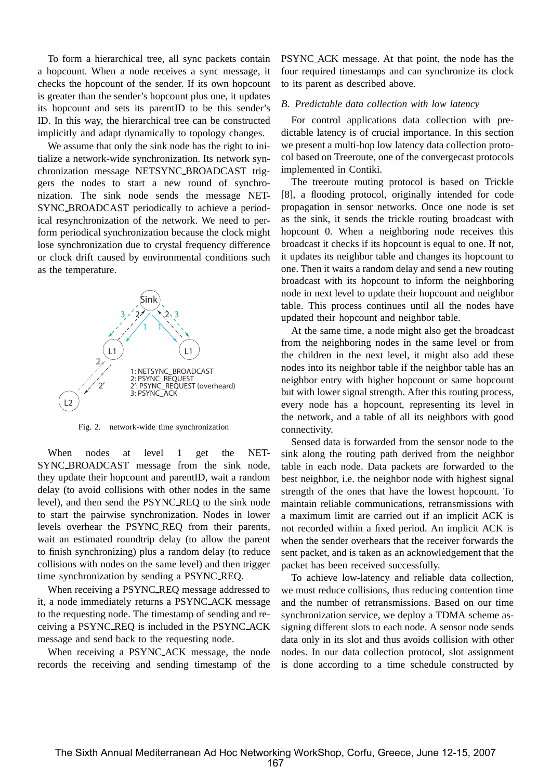To form a hierarchical tree, all sync packets contain a hopcount. When a node receives a sync message, it checks the hopcount of the sender. If its own hopcount is greater than the sender's hopcount plus one, it updates its hopcount and sets its parentID to be this sender's ID. In this way, the hierarchical tree can be constructed implicitly and adapt dynamically to topology changes.

We assume that only the sink node has the right to initialize a network-wide synchronization. Its network synchronization message NETSYNC BROADCAST triggers the nodes to start a new round of synchronization. The sink node sends the message NET-SYNC BROADCAST periodically to achieve a periodical resynchronization of the network. We need to perform periodical synchronization because the clock might lose synchronization due to crystal frequency difference or clock drift caused by environmental conditions such as the temperature.



Fig. 2. network-wide time synchronization

When nodes at level 1 get the NET-SYNC BROADCAST message from the sink node, they update their hopcount and parentID, wait a random delay (to avoid collisions with other nodes in the same level), and then send the PSYNC REQ to the sink node to start the pairwise synchronization. Nodes in lower levels overhear the PSYNC REQ from their parents, wait an estimated roundtrip delay (to allow the parent to finish synchronizing) plus a random delay (to reduce collisions with nodes on the same level) and then trigger time synchronization by sending a PSYNC REQ.

When receiving a PSYNC REQ message addressed to it, a node immediately returns a PSYNC ACK message to the requesting node. The timestamp of sending and receiving a PSYNC REQ is included in the PSYNC ACK message and send back to the requesting node.

When receiving a PSYNC ACK message, the node records the receiving and sending timestamp of the PSYNC ACK message. At that point, the node has the four required timestamps and can synchronize its clock to its parent as described above.

## *B. Predictable data collection with low latency*

For control applications data collection with predictable latency is of crucial importance. In this section we present a multi-hop low latency data collection protocol based on Treeroute, one of the convergecast protocols implemented in Contiki.

The treeroute routing protocol is based on Trickle [8], a flooding protocol, originally intended for code propagation in sensor networks. Once one node is set as the sink, it sends the trickle routing broadcast with hopcount 0. When a neighboring node receives this broadcast it checks if its hopcount is equal to one. If not, it updates its neighbor table and changes its hopcount to one. Then it waits a random delay and send a new routing broadcast with its hopcount to inform the neighboring node in next level to update their hopcount and neighbor table. This process continues until all the nodes have updated their hopcount and neighbor table.

At the same time, a node might also get the broadcast from the neighboring nodes in the same level or from the children in the next level, it might also add these nodes into its neighbor table if the neighbor table has an neighbor entry with higher hopcount or same hopcount but with lower signal strength. After this routing process, every node has a hopcount, representing its level in the network, and a table of all its neighbors with good connectivity.

Sensed data is forwarded from the sensor node to the sink along the routing path derived from the neighbor table in each node. Data packets are forwarded to the best neighbor, i.e. the neighbor node with highest signal strength of the ones that have the lowest hopcount. To maintain reliable communications, retransmissions with a maximum limit are carried out if an implicit ACK is not recorded within a fixed period. An implicit ACK is when the sender overhears that the receiver forwards the sent packet, and is taken as an acknowledgement that the packet has been received successfully.

To achieve low-latency and reliable data collection, we must reduce collisions, thus reducing contention time and the number of retransmissions. Based on our time synchronization service, we deploy a TDMA scheme assigning different slots to each node. A sensor node sends data only in its slot and thus avoids collision with other nodes. In our data collection protocol, slot assignment is done according to a time schedule constructed by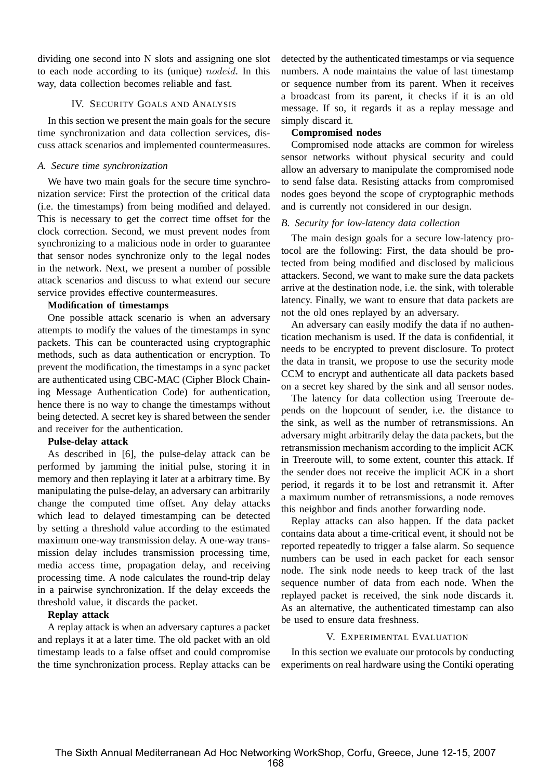dividing one second into N slots and assigning one slot to each node according to its (unique) nodeid. In this way, data collection becomes reliable and fast.

# IV. SECURITY GOALS AND ANALYSIS

In this section we present the main goals for the secure time synchronization and data collection services, discuss attack scenarios and implemented countermeasures.

## *A. Secure time synchronization*

We have two main goals for the secure time synchronization service: First the protection of the critical data (i.e. the timestamps) from being modified and delayed. This is necessary to get the correct time offset for the clock correction. Second, we must prevent nodes from synchronizing to a malicious node in order to guarantee that sensor nodes synchronize only to the legal nodes in the network. Next, we present a number of possible attack scenarios and discuss to what extend our secure service provides effective countermeasures.

# **Modification of timestamps**

One possible attack scenario is when an adversary attempts to modify the values of the timestamps in sync packets. This can be counteracted using cryptographic methods, such as data authentication or encryption. To prevent the modification, the timestamps in a sync packet are authenticated using CBC-MAC (Cipher Block Chaining Message Authentication Code) for authentication, hence there is no way to change the timestamps without being detected. A secret key is shared between the sender and receiver for the authentication.

## **Pulse-delay attack**

As described in [6], the pulse-delay attack can be performed by jamming the initial pulse, storing it in memory and then replaying it later at a arbitrary time. By manipulating the pulse-delay, an adversary can arbitrarily change the computed time offset. Any delay attacks which lead to delayed timestamping can be detected by setting a threshold value according to the estimated maximum one-way transmission delay. A one-way transmission delay includes transmission processing time, media access time, propagation delay, and receiving processing time. A node calculates the round-trip delay in a pairwise synchronization. If the delay exceeds the threshold value, it discards the packet.

# **Replay attack**

A replay attack is when an adversary captures a packet and replays it at a later time. The old packet with an old timestamp leads to a false offset and could compromise the time synchronization process. Replay attacks can be detected by the authenticated timestamps or via sequence numbers. A node maintains the value of last timestamp or sequence number from its parent. When it receives a broadcast from its parent, it checks if it is an old message. If so, it regards it as a replay message and simply discard it.

# **Compromised nodes**

Compromised node attacks are common for wireless sensor networks without physical security and could allow an adversary to manipulate the compromised node to send false data. Resisting attacks from compromised nodes goes beyond the scope of cryptographic methods and is currently not considered in our design.

## *B. Security for low-latency data collection*

The main design goals for a secure low-latency protocol are the following: First, the data should be protected from being modified and disclosed by malicious attackers. Second, we want to make sure the data packets arrive at the destination node, i.e. the sink, with tolerable latency. Finally, we want to ensure that data packets are not the old ones replayed by an adversary.

An adversary can easily modify the data if no authentication mechanism is used. If the data is confidential, it needs to be encrypted to prevent disclosure. To protect the data in transit, we propose to use the security mode CCM to encrypt and authenticate all data packets based on a secret key shared by the sink and all sensor nodes.

The latency for data collection using Treeroute depends on the hopcount of sender, i.e. the distance to the sink, as well as the number of retransmissions. An adversary might arbitrarily delay the data packets, but the retransmission mechanism according to the implicit ACK in Treeroute will, to some extent, counter this attack. If the sender does not receive the implicit ACK in a short period, it regards it to be lost and retransmit it. After a maximum number of retransmissions, a node removes this neighbor and finds another forwarding node.

Replay attacks can also happen. If the data packet contains data about a time-critical event, it should not be reported repeatedly to trigger a false alarm. So sequence numbers can be used in each packet for each sensor node. The sink node needs to keep track of the last sequence number of data from each node. When the replayed packet is received, the sink node discards it. As an alternative, the authenticated timestamp can also be used to ensure data freshness.

# V. EXPERIMENTAL EVALUATION

In this section we evaluate our protocols by conducting experiments on real hardware using the Contiki operating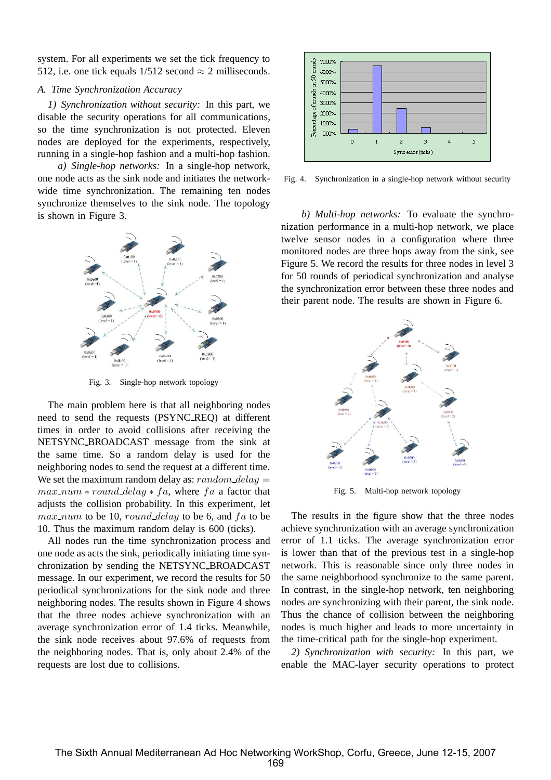system. For all experiments we set the tick frequency to 512, i.e. one tick equals  $1/512$  second  $\approx$  2 milliseconds.

## *A. Time Synchronization Accuracy*

*1) Synchronization without security:* In this part, we disable the security operations for all communications, so the time synchronization is not protected. Eleven nodes are deployed for the experiments, respectively, running in a single-hop fashion and a multi-hop fashion.

*a) Single-hop networks:* In a single-hop network, one node acts as the sink node and initiates the networkwide time synchronization. The remaining ten nodes synchronize themselves to the sink node. The topology is shown in Figure 3.



Fig. 3. Single-hop network topology

The main problem here is that all neighboring nodes need to send the requests (PSYNC REQ) at different times in order to avoid collisions after receiving the NETSYNC BROADCAST message from the sink at the same time. So a random delay is used for the neighboring nodes to send the request at a different time. We set the maximum random delay as:  $random\_delay$  $max\_num * round\_delay * fa$ , where fa a factor that adjusts the collision probability. In this experiment, let  $max\_num$  to be 10, round delay to be 6, and  $fa$  to be 10. Thus the maximum random delay is 600 (ticks).

All nodes run the time synchronization process and one node as acts the sink, periodically initiating time synchronization by sending the NETSYNC BROADCAST message. In our experiment, we record the results for 50 periodical synchronizations for the sink node and three neighboring nodes. The results shown in Figure 4 shows that the three nodes achieve synchronization with an average synchronization error of 1.4 ticks. Meanwhile, the sink node receives about 97.6% of requests from the neighboring nodes. That is, only about 2.4% of the requests are lost due to collisions.



Fig. 4. Synchronization in a single-hop network without security

*b) Multi-hop networks:* To evaluate the synchronization performance in a multi-hop network, we place twelve sensor nodes in a configuration where three monitored nodes are three hops away from the sink, see Figure 5. We record the results for three nodes in level 3 for 50 rounds of periodical synchronization and analyse the synchronization error between these three nodes and their parent node. The results are shown in Figure 6.



Fig. 5. Multi-hop network topology

The results in the figure show that the three nodes achieve synchronization with an average synchronization error of 1.1 ticks. The average synchronization error is lower than that of the previous test in a single-hop network. This is reasonable since only three nodes in the same neighborhood synchronize to the same parent. In contrast, in the single-hop network, ten neighboring nodes are synchronizing with their parent, the sink node. Thus the chance of collision between the neighboring nodes is much higher and leads to more uncertainty in the time-critical path for the single-hop experiment.

*2) Synchronization with security:* In this part, we enable the MAC-layer security operations to protect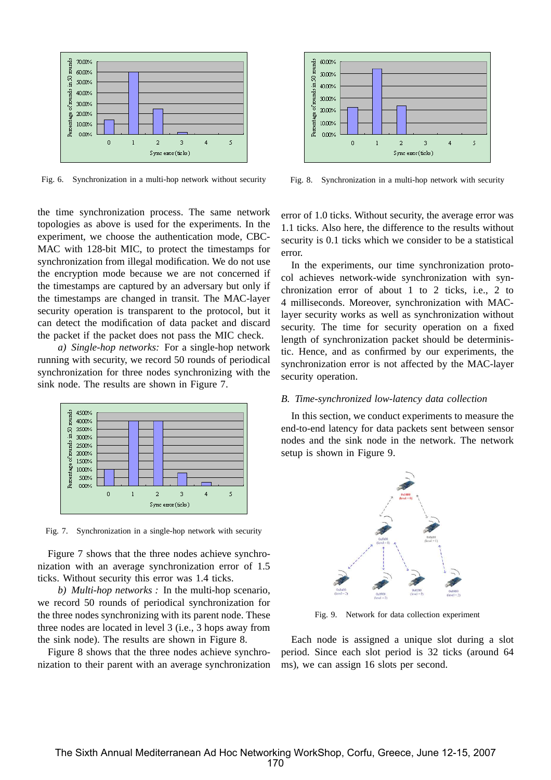

Fig. 6. Synchronization in a multi-hop network without security

the time synchronization process. The same network topologies as above is used for the experiments. In the experiment, we choose the authentication mode, CBC-MAC with 128-bit MIC, to protect the timestamps for synchronization from illegal modification. We do not use the encryption mode because we are not concerned if the timestamps are captured by an adversary but only if the timestamps are changed in transit. The MAC-layer security operation is transparent to the protocol, but it can detect the modification of data packet and discard the packet if the packet does not pass the MIC check.

*a) Single-hop networks:* For a single-hop network running with security, we record 50 rounds of periodical synchronization for three nodes synchronizing with the sink node. The results are shown in Figure 7.



Fig. 7. Synchronization in a single-hop network with security

Figure 7 shows that the three nodes achieve synchronization with an average synchronization error of 1.5 ticks. Without security this error was 1.4 ticks.

*b) Multi-hop networks :* In the multi-hop scenario, we record 50 rounds of periodical synchronization for the three nodes synchronizing with its parent node. These three nodes are located in level 3 (i.e., 3 hops away from the sink node). The results are shown in Figure 8.

Figure 8 shows that the three nodes achieve synchronization to their parent with an average synchronization



Fig. 8. Synchronization in a multi-hop network with security

error of 1.0 ticks. Without security, the average error was 1.1 ticks. Also here, the difference to the results without security is 0.1 ticks which we consider to be a statistical error.

In the experiments, our time synchronization protocol achieves network-wide synchronization with synchronization error of about 1 to 2 ticks, i.e., 2 to 4 milliseconds. Moreover, synchronization with MAClayer security works as well as synchronization without security. The time for security operation on a fixed length of synchronization packet should be deterministic. Hence, and as confirmed by our experiments, the synchronization error is not affected by the MAC-layer security operation.

## *B. Time-synchronized low-latency data collection*

In this section, we conduct experiments to measure the end-to-end latency for data packets sent between sensor nodes and the sink node in the network. The network setup is shown in Figure 9.



Fig. 9. Network for data collection experiment

Each node is assigned a unique slot during a slot period. Since each slot period is 32 ticks (around 64 ms), we can assign 16 slots per second.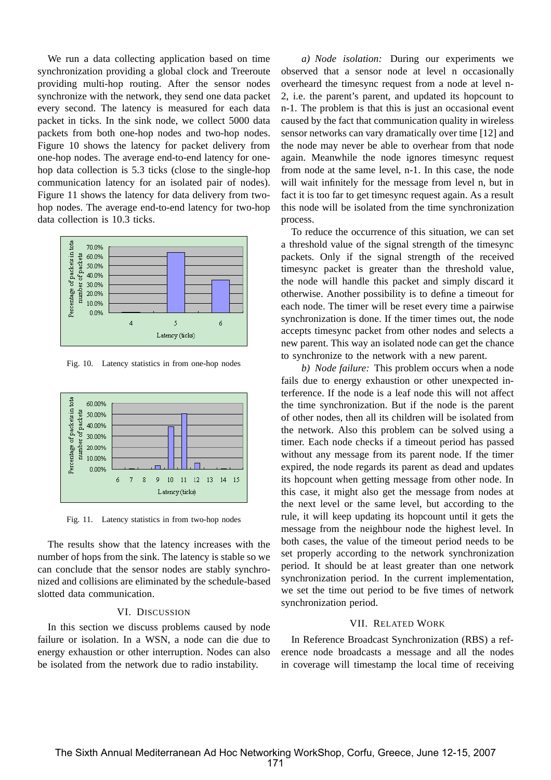We run a data collecting application based on time synchronization providing a global clock and Treeroute providing multi-hop routing. After the sensor nodes synchronize with the network, they send one data packet every second. The latency is measured for each data packet in ticks. In the sink node, we collect 5000 data packets from both one-hop nodes and two-hop nodes. Figure 10 shows the latency for packet delivery from one-hop nodes. The average end-to-end latency for onehop data collection is 5.3 ticks (close to the single-hop communication latency for an isolated pair of nodes). Figure 11 shows the latency for data delivery from twohop nodes. The average end-to-end latency for two-hop data collection is 10.3 ticks.



Fig. 10. Latency statistics in from one-hop nodes



Fig. 11. Latency statistics in from two-hop nodes

The results show that the latency increases with the number of hops from the sink. The latency is stable so we can conclude that the sensor nodes are stably synchronized and collisions are eliminated by the schedule-based slotted data communication.

#### VI. DISCUSSION

In this section we discuss problems caused by node failure or isolation. In a WSN, a node can die due to energy exhaustion or other interruption. Nodes can also be isolated from the network due to radio instability.

*a) Node isolation:* During our experiments we observed that a sensor node at level n occasionally overheard the timesync request from a node at level n-2, i.e. the parent's parent, and updated its hopcount to n-1. The problem is that this is just an occasional event caused by the fact that communication quality in wireless sensor networks can vary dramatically over time [12] and the node may never be able to overhear from that node again. Meanwhile the node ignores timesync request from node at the same level, n-1. In this case, the node will wait infinitely for the message from level n, but in fact it is too far to get timesync request again. As a result this node will be isolated from the time synchronization process.

To reduce the occurrence of this situation, we can set a threshold value of the signal strength of the timesync packets. Only if the signal strength of the received timesync packet is greater than the threshold value, the node will handle this packet and simply discard it otherwise. Another possibility is to define a timeout for each node. The timer will be reset every time a pairwise synchronization is done. If the timer times out, the node accepts timesync packet from other nodes and selects a new parent. This way an isolated node can get the chance to synchronize to the network with a new parent.

*b) Node failure:* This problem occurs when a node fails due to energy exhaustion or other unexpected interference. If the node is a leaf node this will not affect the time synchronization. But if the node is the parent of other nodes, then all its children will be isolated from the network. Also this problem can be solved using a timer. Each node checks if a timeout period has passed without any message from its parent node. If the timer expired, the node regards its parent as dead and updates its hopcount when getting message from other node. In this case, it might also get the message from nodes at the next level or the same level, but according to the rule, it will keep updating its hopcount until it gets the message from the neighbour node the highest level. In both cases, the value of the timeout period needs to be set properly according to the network synchronization period. It should be at least greater than one network synchronization period. In the current implementation, we set the time out period to be five times of network synchronization period.

# VII. RELATED WORK

In Reference Broadcast Synchronization (RBS) a reference node broadcasts a message and all the nodes in coverage will timestamp the local time of receiving